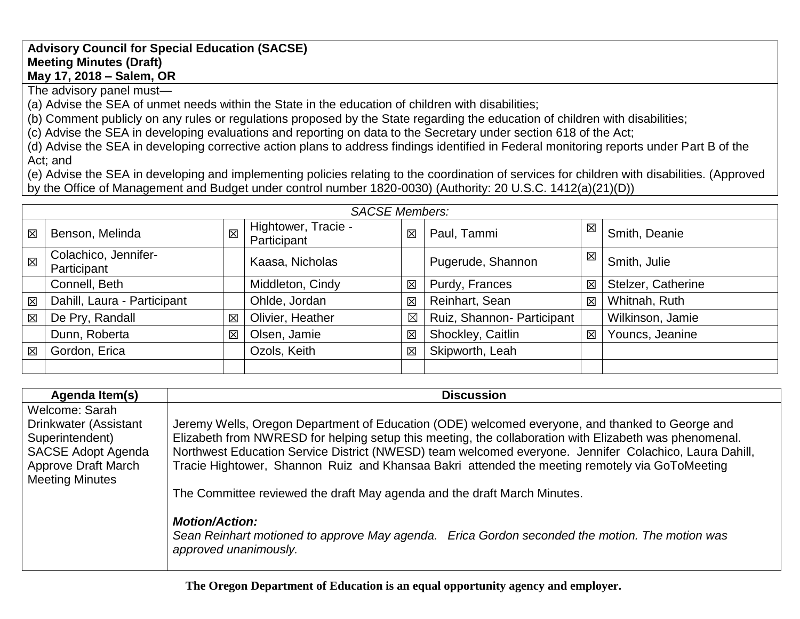## **Advisory Council for Special Education (SACSE) Meeting Minutes (Draft) May 17, 2018 – Salem, OR**

The advisory panel must—

(a) Advise the SEA of unmet needs within the State in the education of children with disabilities;

(b) Comment publicly on any rules or regulations proposed by the State regarding the education of children with disabilities;

(c) Advise the SEA in developing evaluations and reporting on data to the Secretary under section 618 of the Act;

(d) Advise the SEA in developing corrective action plans to address findings identified in Federal monitoring reports under Part B of the Act; and

(e) Advise the SEA in developing and implementing policies relating to the coordination of services for children with disabilities. (Approved by the Office of Management and Budget under control number 1820-0030) (Authority: 20 U.S.C. 1412(a)(21)(D))

|             | <b>SACSE Members:</b>               |   |                                    |             |                            |   |                    |
|-------------|-------------------------------------|---|------------------------------------|-------------|----------------------------|---|--------------------|
| 冈           | Benson, Melinda                     | 図 | Hightower, Tracie -<br>Participant | 区           | Paul, Tammi                | 区 | Smith, Deanie      |
| $\boxtimes$ | Colachico, Jennifer-<br>Participant |   | Kaasa, Nicholas                    |             | Pugerude, Shannon          | 区 | Smith, Julie       |
|             | Connell, Beth                       |   | Middleton, Cindy                   | 区           | Purdy, Frances             | 区 | Stelzer, Catherine |
| 区           | Dahill, Laura - Participant         |   | Ohlde, Jordan                      | 区           | Reinhart, Sean             | 区 | Whitnah, Ruth      |
| 図           | De Pry, Randall                     | 区 | Olivier, Heather                   | $\boxtimes$ | Ruiz, Shannon- Participant |   | Wilkinson, Jamie   |
|             | Dunn, Roberta                       | 区 | Olsen, Jamie                       | 区           | Shockley, Caitlin          | 区 | Youncs, Jeanine    |
| 図           | Gordon, Erica                       |   | Ozols, Keith                       | 区           | Skipworth, Leah            |   |                    |
|             |                                     |   |                                    |             |                            |   |                    |

| Agenda Item(s)             | <b>Discussion</b>                                                                                      |
|----------------------------|--------------------------------------------------------------------------------------------------------|
| Welcome: Sarah             |                                                                                                        |
| Drinkwater (Assistant      | Jeremy Wells, Oregon Department of Education (ODE) welcomed everyone, and thanked to George and        |
| Superintendent)            | Elizabeth from NWRESD for helping setup this meeting, the collaboration with Elizabeth was phenomenal. |
| <b>SACSE Adopt Agenda</b>  | Northwest Education Service District (NWESD) team welcomed everyone. Jennifer Colachico, Laura Dahill, |
| <b>Approve Draft March</b> | Tracie Hightower, Shannon Ruiz and Khansaa Bakri attended the meeting remotely via GoToMeeting         |
| <b>Meeting Minutes</b>     |                                                                                                        |
|                            | The Committee reviewed the draft May agenda and the draft March Minutes.                               |
|                            |                                                                                                        |
|                            | <b>Motion/Action:</b>                                                                                  |
|                            | Sean Reinhart motioned to approve May agenda. Erica Gordon seconded the motion. The motion was         |
|                            | approved unanimously.                                                                                  |
|                            |                                                                                                        |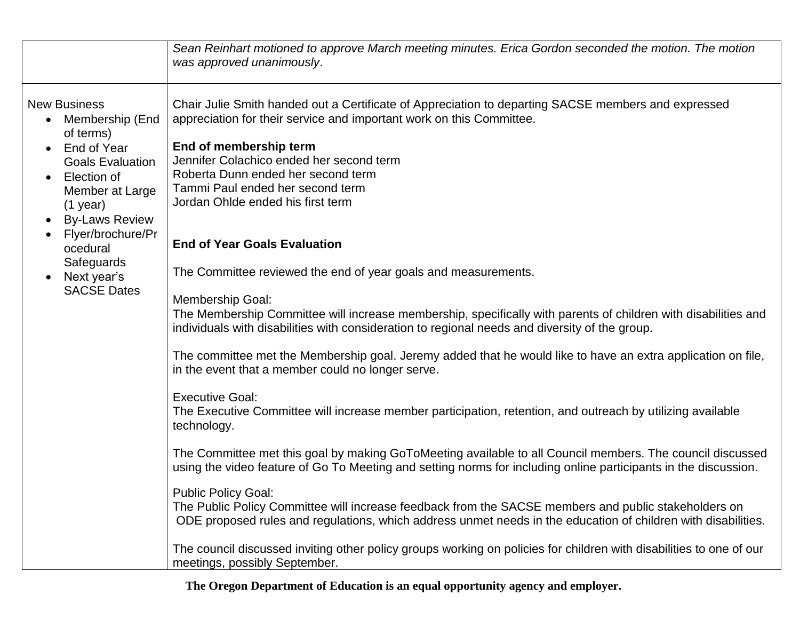|                                                                                                                                                                                                                                                                                                                | Sean Reinhart motioned to approve March meeting minutes. Erica Gordon seconded the motion. The motion<br>was approved unanimously.                                                                                                                                                                                                                                                                                                                                                                                                                                                                                                                                                                                                                                                                                                                                                                                                                                                                                                                                                                                                                                                                                                                                                                                                                                                                                                                                                                                                                                                                                                                                                                  |
|----------------------------------------------------------------------------------------------------------------------------------------------------------------------------------------------------------------------------------------------------------------------------------------------------------------|-----------------------------------------------------------------------------------------------------------------------------------------------------------------------------------------------------------------------------------------------------------------------------------------------------------------------------------------------------------------------------------------------------------------------------------------------------------------------------------------------------------------------------------------------------------------------------------------------------------------------------------------------------------------------------------------------------------------------------------------------------------------------------------------------------------------------------------------------------------------------------------------------------------------------------------------------------------------------------------------------------------------------------------------------------------------------------------------------------------------------------------------------------------------------------------------------------------------------------------------------------------------------------------------------------------------------------------------------------------------------------------------------------------------------------------------------------------------------------------------------------------------------------------------------------------------------------------------------------------------------------------------------------------------------------------------------------|
| <b>New Business</b><br>Membership (End<br>of terms)<br>End of Year<br>$\bullet$<br><b>Goals Evaluation</b><br>Election of<br>$\bullet$<br>Member at Large<br>$(1$ year)<br><b>By-Laws Review</b><br>$\bullet$<br>Flyer/brochure/Pr<br>ocedural<br>Safeguards<br>Next year's<br>$\bullet$<br><b>SACSE Dates</b> | Chair Julie Smith handed out a Certificate of Appreciation to departing SACSE members and expressed<br>appreciation for their service and important work on this Committee.<br>End of membership term<br>Jennifer Colachico ended her second term<br>Roberta Dunn ended her second term<br>Tammi Paul ended her second term<br>Jordan Ohlde ended his first term<br><b>End of Year Goals Evaluation</b><br>The Committee reviewed the end of year goals and measurements.<br><b>Membership Goal:</b><br>The Membership Committee will increase membership, specifically with parents of children with disabilities and<br>individuals with disabilities with consideration to regional needs and diversity of the group.<br>The committee met the Membership goal. Jeremy added that he would like to have an extra application on file,<br>in the event that a member could no longer serve.<br><b>Executive Goal:</b><br>The Executive Committee will increase member participation, retention, and outreach by utilizing available<br>technology.<br>The Committee met this goal by making GoToMeeting available to all Council members. The council discussed<br>using the video feature of Go To Meeting and setting norms for including online participants in the discussion.<br><b>Public Policy Goal:</b><br>The Public Policy Committee will increase feedback from the SACSE members and public stakeholders on<br>ODE proposed rules and regulations, which address unmet needs in the education of children with disabilities.<br>The council discussed inviting other policy groups working on policies for children with disabilities to one of our<br>meetings, possibly September. |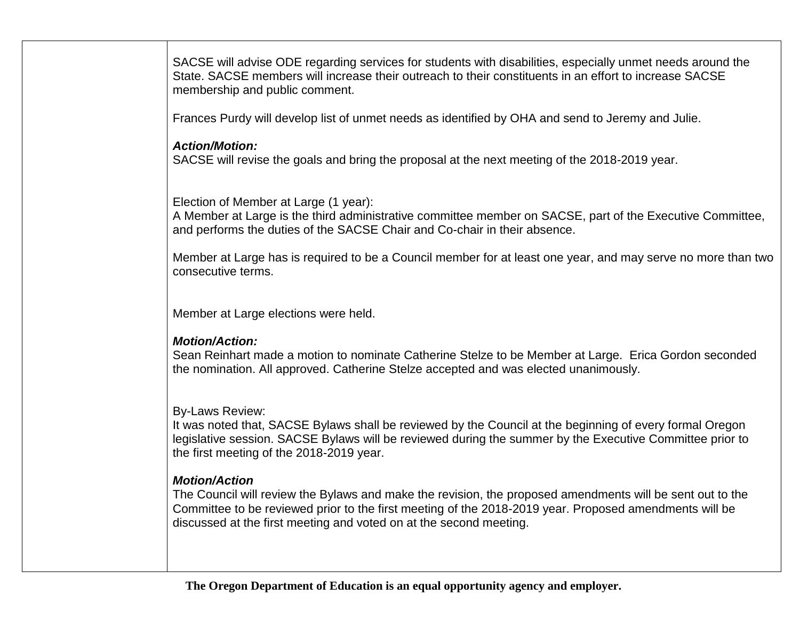SACSE will advise ODE regarding services for students with disabilities, especially unmet needs around the State. SACSE members will increase their outreach to their constituents in an effort to increase SACSE membership and public comment.

Frances Purdy will develop list of unmet needs as identified by OHA and send to Jeremy and Julie.

# *Action/Motion:*

SACSE will revise the goals and bring the proposal at the next meeting of the 2018-2019 year.

Election of Member at Large (1 year):

A Member at Large is the third administrative committee member on SACSE, part of the Executive Committee, and performs the duties of the SACSE Chair and Co-chair in their absence.

Member at Large has is required to be a Council member for at least one year, and may serve no more than two consecutive terms.

Member at Large elections were held.

# *Motion/Action:*

Sean Reinhart made a motion to nominate Catherine Stelze to be Member at Large. Erica Gordon seconded the nomination. All approved. Catherine Stelze accepted and was elected unanimously.

# By-Laws Review:

It was noted that, SACSE Bylaws shall be reviewed by the Council at the beginning of every formal Oregon legislative session. SACSE Bylaws will be reviewed during the summer by the Executive Committee prior to the first meeting of the 2018-2019 year.

# *Motion/Action*

The Council will review the Bylaws and make the revision, the proposed amendments will be sent out to the Committee to be reviewed prior to the first meeting of the 2018-2019 year. Proposed amendments will be discussed at the first meeting and voted on at the second meeting.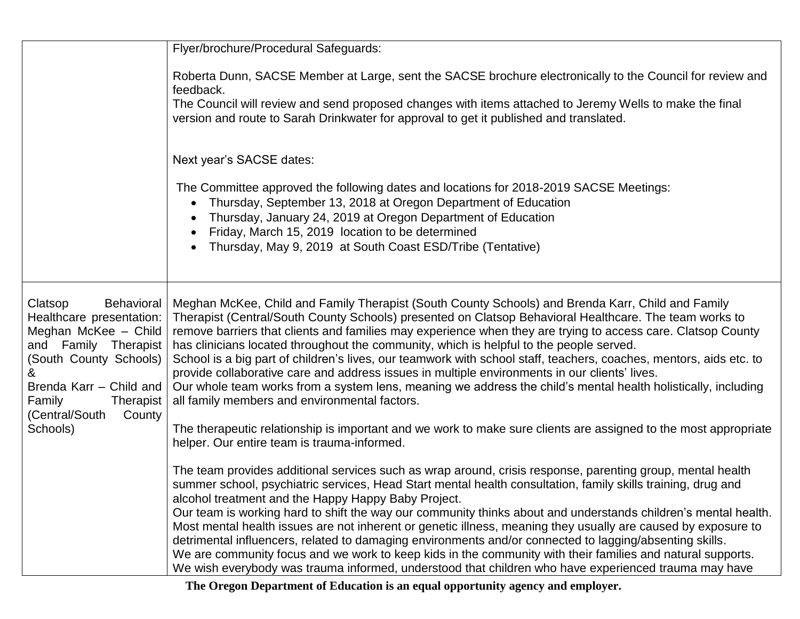| Flyer/brochure/Procedural Safeguards:                                                                                                                                                                                                                                                                                                                                                                                                                                                                                                                                                                                                                                                                                                                                                                                                   |
|-----------------------------------------------------------------------------------------------------------------------------------------------------------------------------------------------------------------------------------------------------------------------------------------------------------------------------------------------------------------------------------------------------------------------------------------------------------------------------------------------------------------------------------------------------------------------------------------------------------------------------------------------------------------------------------------------------------------------------------------------------------------------------------------------------------------------------------------|
|                                                                                                                                                                                                                                                                                                                                                                                                                                                                                                                                                                                                                                                                                                                                                                                                                                         |
| Roberta Dunn, SACSE Member at Large, sent the SACSE brochure electronically to the Council for review and<br>feedback.                                                                                                                                                                                                                                                                                                                                                                                                                                                                                                                                                                                                                                                                                                                  |
| The Council will review and send proposed changes with items attached to Jeremy Wells to make the final<br>version and route to Sarah Drinkwater for approval to get it published and translated.                                                                                                                                                                                                                                                                                                                                                                                                                                                                                                                                                                                                                                       |
| Next year's SACSE dates:                                                                                                                                                                                                                                                                                                                                                                                                                                                                                                                                                                                                                                                                                                                                                                                                                |
| The Committee approved the following dates and locations for 2018-2019 SACSE Meetings:<br>Thursday, September 13, 2018 at Oregon Department of Education<br>Thursday, January 24, 2019 at Oregon Department of Education<br>$\bullet$<br>Friday, March 15, 2019 location to be determined<br>Thursday, May 9, 2019 at South Coast ESD/Tribe (Tentative)<br>$\bullet$                                                                                                                                                                                                                                                                                                                                                                                                                                                                    |
|                                                                                                                                                                                                                                                                                                                                                                                                                                                                                                                                                                                                                                                                                                                                                                                                                                         |
| Meghan McKee, Child and Family Therapist (South County Schools) and Brenda Karr, Child and Family<br>Therapist (Central/South County Schools) presented on Clatsop Behavioral Healthcare. The team works to<br>remove barriers that clients and families may experience when they are trying to access care. Clatsop County<br>has clinicians located throughout the community, which is helpful to the people served.<br>and Family Therapist<br>School is a big part of children's lives, our teamwork with school staff, teachers, coaches, mentors, aids etc. to<br>provide collaborative care and address issues in multiple environments in our clients' lives.<br>Our whole team works from a system lens, meaning we address the child's mental health holistically, including<br>all family members and environmental factors. |
| The therapeutic relationship is important and we work to make sure clients are assigned to the most appropriate<br>helper. Our entire team is trauma-informed.                                                                                                                                                                                                                                                                                                                                                                                                                                                                                                                                                                                                                                                                          |
| The team provides additional services such as wrap around, crisis response, parenting group, mental health<br>summer school, psychiatric services, Head Start mental health consultation, family skills training, drug and<br>alcohol treatment and the Happy Happy Baby Project.<br>Our team is working hard to shift the way our community thinks about and understands children's mental health.<br>Most mental health issues are not inherent or genetic illness, meaning they usually are caused by exposure to<br>detrimental influencers, related to damaging environments and/or connected to lagging/absenting skills.<br>We are community focus and we work to keep kids in the community with their families and natural supports.                                                                                           |
|                                                                                                                                                                                                                                                                                                                                                                                                                                                                                                                                                                                                                                                                                                                                                                                                                                         |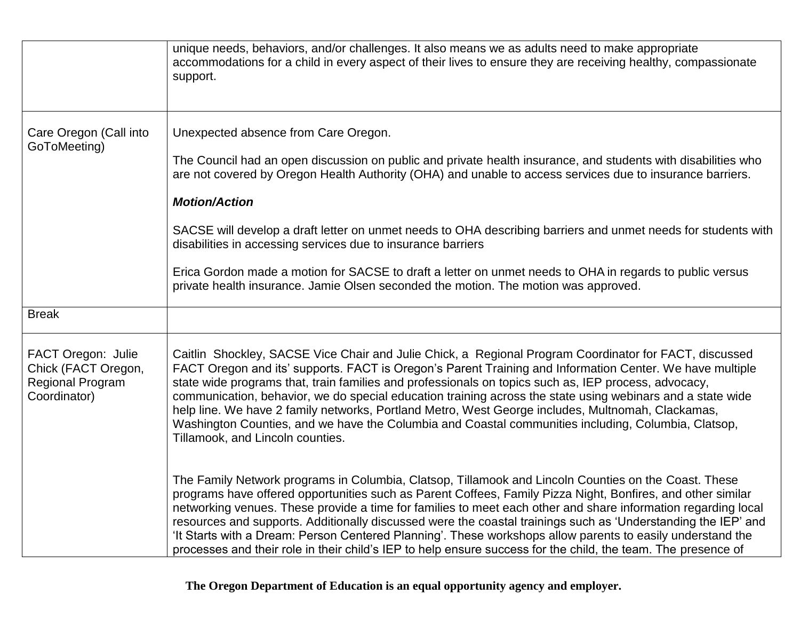|                                                                                      | unique needs, behaviors, and/or challenges. It also means we as adults need to make appropriate<br>accommodations for a child in every aspect of their lives to ensure they are receiving healthy, compassionate<br>support.                                                                                                                                                                                                                                                                                                                                                                                                                                                             |
|--------------------------------------------------------------------------------------|------------------------------------------------------------------------------------------------------------------------------------------------------------------------------------------------------------------------------------------------------------------------------------------------------------------------------------------------------------------------------------------------------------------------------------------------------------------------------------------------------------------------------------------------------------------------------------------------------------------------------------------------------------------------------------------|
| Care Oregon (Call into<br>GoToMeeting)                                               | Unexpected absence from Care Oregon.<br>The Council had an open discussion on public and private health insurance, and students with disabilities who<br>are not covered by Oregon Health Authority (OHA) and unable to access services due to insurance barriers.<br><b>Motion/Action</b><br>SACSE will develop a draft letter on unmet needs to OHA describing barriers and unmet needs for students with<br>disabilities in accessing services due to insurance barriers<br>Erica Gordon made a motion for SACSE to draft a letter on unmet needs to OHA in regards to public versus<br>private health insurance. Jamie Olsen seconded the motion. The motion was approved.           |
| <b>Break</b>                                                                         |                                                                                                                                                                                                                                                                                                                                                                                                                                                                                                                                                                                                                                                                                          |
| FACT Oregon: Julie<br>Chick (FACT Oregon,<br><b>Regional Program</b><br>Coordinator) | Caitlin Shockley, SACSE Vice Chair and Julie Chick, a Regional Program Coordinator for FACT, discussed<br>FACT Oregon and its' supports. FACT is Oregon's Parent Training and Information Center. We have multiple<br>state wide programs that, train families and professionals on topics such as, IEP process, advocacy,<br>communication, behavior, we do special education training across the state using webinars and a state wide<br>help line. We have 2 family networks, Portland Metro, West George includes, Multnomah, Clackamas,<br>Washington Counties, and we have the Columbia and Coastal communities including, Columbia, Clatsop,<br>Tillamook, and Lincoln counties. |
|                                                                                      | The Family Network programs in Columbia, Clatsop, Tillamook and Lincoln Counties on the Coast. These<br>programs have offered opportunities such as Parent Coffees, Family Pizza Night, Bonfires, and other similar<br>networking venues. These provide a time for families to meet each other and share information regarding local<br>resources and supports. Additionally discussed were the coastal trainings such as 'Understanding the IEP' and<br>'It Starts with a Dream: Person Centered Planning'. These workshops allow parents to easily understand the<br>processes and their role in their child's IEP to help ensure success for the child, the team. The presence of     |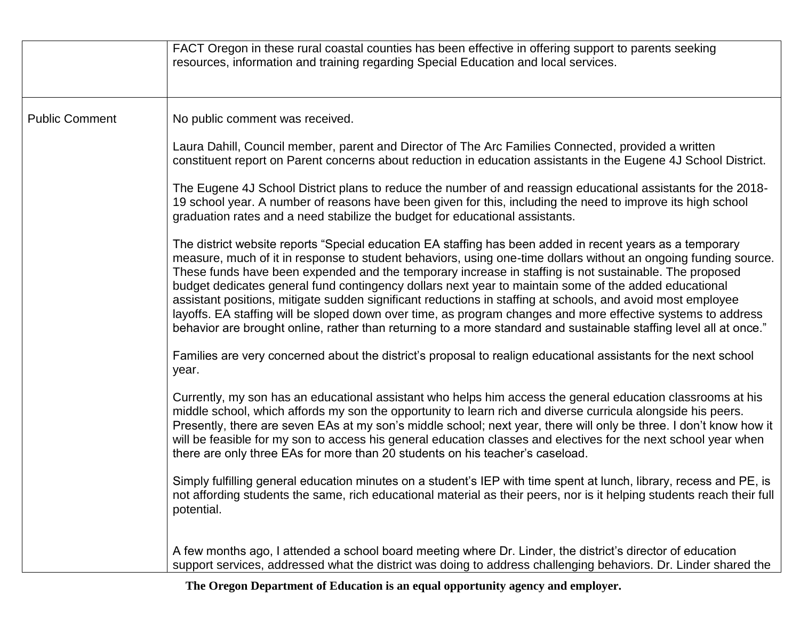|                       | FACT Oregon in these rural coastal counties has been effective in offering support to parents seeking<br>resources, information and training regarding Special Education and local services.                                                                                                                                                                                                                                                                                                                                                                                                                                                                                                                                                                                                         |
|-----------------------|------------------------------------------------------------------------------------------------------------------------------------------------------------------------------------------------------------------------------------------------------------------------------------------------------------------------------------------------------------------------------------------------------------------------------------------------------------------------------------------------------------------------------------------------------------------------------------------------------------------------------------------------------------------------------------------------------------------------------------------------------------------------------------------------------|
| <b>Public Comment</b> | No public comment was received.                                                                                                                                                                                                                                                                                                                                                                                                                                                                                                                                                                                                                                                                                                                                                                      |
|                       | Laura Dahill, Council member, parent and Director of The Arc Families Connected, provided a written<br>constituent report on Parent concerns about reduction in education assistants in the Eugene 4J School District.                                                                                                                                                                                                                                                                                                                                                                                                                                                                                                                                                                               |
|                       | The Eugene 4J School District plans to reduce the number of and reassign educational assistants for the 2018-<br>19 school year. A number of reasons have been given for this, including the need to improve its high school<br>graduation rates and a need stabilize the budget for educational assistants.                                                                                                                                                                                                                                                                                                                                                                                                                                                                                         |
|                       | The district website reports "Special education EA staffing has been added in recent years as a temporary<br>measure, much of it in response to student behaviors, using one-time dollars without an ongoing funding source.<br>These funds have been expended and the temporary increase in staffing is not sustainable. The proposed<br>budget dedicates general fund contingency dollars next year to maintain some of the added educational<br>assistant positions, mitigate sudden significant reductions in staffing at schools, and avoid most employee<br>layoffs. EA staffing will be sloped down over time, as program changes and more effective systems to address<br>behavior are brought online, rather than returning to a more standard and sustainable staffing level all at once." |
|                       | Families are very concerned about the district's proposal to realign educational assistants for the next school<br>year.                                                                                                                                                                                                                                                                                                                                                                                                                                                                                                                                                                                                                                                                             |
|                       | Currently, my son has an educational assistant who helps him access the general education classrooms at his<br>middle school, which affords my son the opportunity to learn rich and diverse curricula alongside his peers.<br>Presently, there are seven EAs at my son's middle school; next year, there will only be three. I don't know how it<br>will be feasible for my son to access his general education classes and electives for the next school year when<br>there are only three EAs for more than 20 students on his teacher's caseload.                                                                                                                                                                                                                                                |
|                       | Simply fulfilling general education minutes on a student's IEP with time spent at lunch, library, recess and PE, is<br>not affording students the same, rich educational material as their peers, nor is it helping students reach their full<br>potential.                                                                                                                                                                                                                                                                                                                                                                                                                                                                                                                                          |
|                       | A few months ago, I attended a school board meeting where Dr. Linder, the district's director of education<br>support services, addressed what the district was doing to address challenging behaviors. Dr. Linder shared the                                                                                                                                                                                                                                                                                                                                                                                                                                                                                                                                                                        |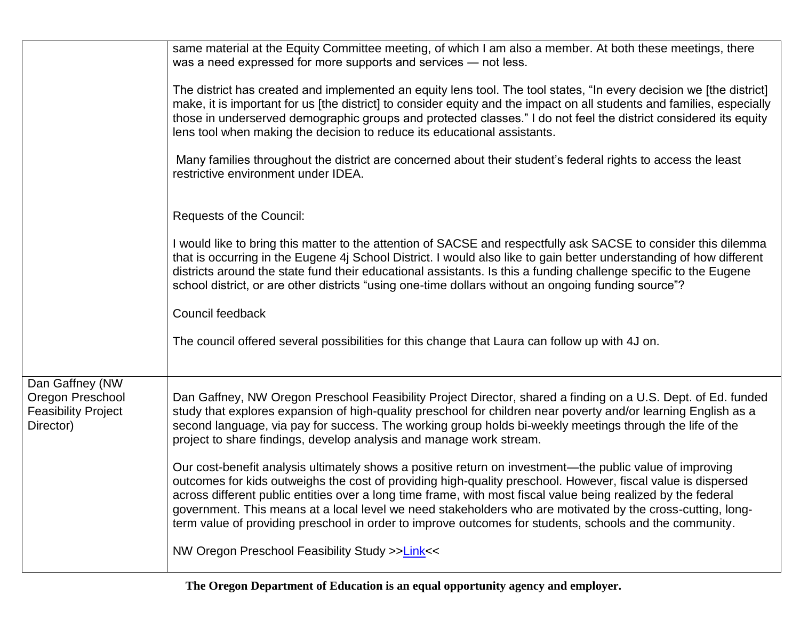|                                                                                | same material at the Equity Committee meeting, of which I am also a member. At both these meetings, there<br>was a need expressed for more supports and services - not less.                                                                                                                                                                                                                                                                                                                                                                                       |
|--------------------------------------------------------------------------------|--------------------------------------------------------------------------------------------------------------------------------------------------------------------------------------------------------------------------------------------------------------------------------------------------------------------------------------------------------------------------------------------------------------------------------------------------------------------------------------------------------------------------------------------------------------------|
|                                                                                | The district has created and implemented an equity lens tool. The tool states, "In every decision we [the district]<br>make, it is important for us [the district] to consider equity and the impact on all students and families, especially<br>those in underserved demographic groups and protected classes." I do not feel the district considered its equity<br>lens tool when making the decision to reduce its educational assistants.                                                                                                                      |
|                                                                                | Many families throughout the district are concerned about their student's federal rights to access the least<br>restrictive environment under IDEA.                                                                                                                                                                                                                                                                                                                                                                                                                |
|                                                                                | Requests of the Council:                                                                                                                                                                                                                                                                                                                                                                                                                                                                                                                                           |
|                                                                                | I would like to bring this matter to the attention of SACSE and respectfully ask SACSE to consider this dilemma<br>that is occurring in the Eugene 4j School District. I would also like to gain better understanding of how different<br>districts around the state fund their educational assistants. Is this a funding challenge specific to the Eugene<br>school district, or are other districts "using one-time dollars without an ongoing funding source"?                                                                                                  |
|                                                                                | Council feedback                                                                                                                                                                                                                                                                                                                                                                                                                                                                                                                                                   |
|                                                                                | The council offered several possibilities for this change that Laura can follow up with 4J on.                                                                                                                                                                                                                                                                                                                                                                                                                                                                     |
| Dan Gaffney (NW<br>Oregon Preschool<br><b>Feasibility Project</b><br>Director) | Dan Gaffney, NW Oregon Preschool Feasibility Project Director, shared a finding on a U.S. Dept. of Ed. funded<br>study that explores expansion of high-quality preschool for children near poverty and/or learning English as a<br>second language, via pay for success. The working group holds bi-weekly meetings through the life of the<br>project to share findings, develop analysis and manage work stream.                                                                                                                                                 |
|                                                                                | Our cost-benefit analysis ultimately shows a positive return on investment—the public value of improving<br>outcomes for kids outweighs the cost of providing high-quality preschool. However, fiscal value is dispersed<br>across different public entities over a long time frame, with most fiscal value being realized by the federal<br>government. This means at a local level we need stakeholders who are motivated by the cross-cutting, long-<br>term value of providing preschool in order to improve outcomes for students, schools and the community. |
|                                                                                | NW Oregon Preschool Feasibility Study >>Link <<                                                                                                                                                                                                                                                                                                                                                                                                                                                                                                                    |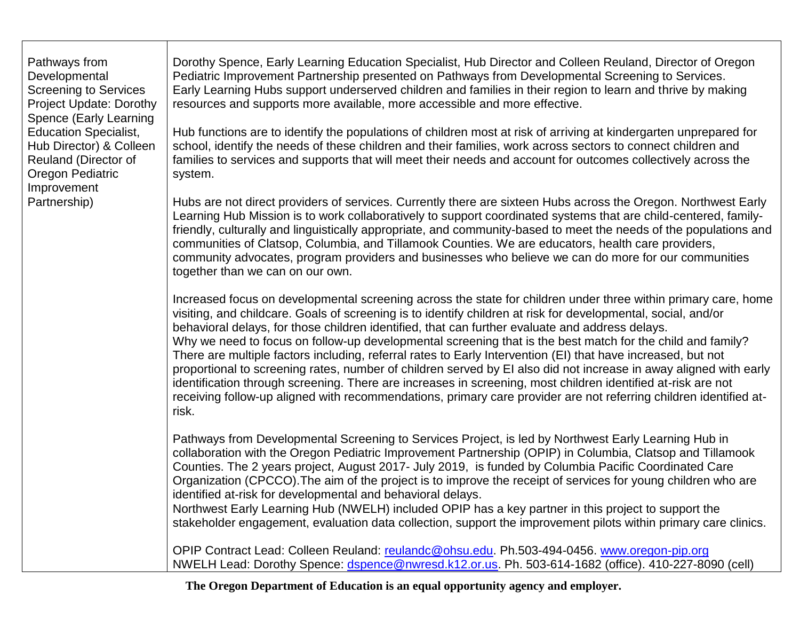| Pathways from<br>Developmental<br><b>Screening to Services</b><br><b>Project Update: Dorothy</b>                              | Dorothy Spence, Early Learning Education Specialist, Hub Director and Colleen Reuland, Director of Oregon<br>Pediatric Improvement Partnership presented on Pathways from Developmental Screening to Services.<br>Early Learning Hubs support underserved children and families in their region to learn and thrive by making<br>resources and supports more available, more accessible and more effective.                                                                                                                                                                                                                                                                                                                                                                                                                                                                                                                         |
|-------------------------------------------------------------------------------------------------------------------------------|-------------------------------------------------------------------------------------------------------------------------------------------------------------------------------------------------------------------------------------------------------------------------------------------------------------------------------------------------------------------------------------------------------------------------------------------------------------------------------------------------------------------------------------------------------------------------------------------------------------------------------------------------------------------------------------------------------------------------------------------------------------------------------------------------------------------------------------------------------------------------------------------------------------------------------------|
| Spence (Early Learning<br><b>Education Specialist,</b><br>Hub Director) & Colleen<br>Reuland (Director of<br>Oregon Pediatric | Hub functions are to identify the populations of children most at risk of arriving at kindergarten unprepared for<br>school, identify the needs of these children and their families, work across sectors to connect children and<br>families to services and supports that will meet their needs and account for outcomes collectively across the<br>system.                                                                                                                                                                                                                                                                                                                                                                                                                                                                                                                                                                       |
| Improvement<br>Partnership)                                                                                                   | Hubs are not direct providers of services. Currently there are sixteen Hubs across the Oregon. Northwest Early<br>Learning Hub Mission is to work collaboratively to support coordinated systems that are child-centered, family-<br>friendly, culturally and linguistically appropriate, and community-based to meet the needs of the populations and<br>communities of Clatsop, Columbia, and Tillamook Counties. We are educators, health care providers,<br>community advocates, program providers and businesses who believe we can do more for our communities<br>together than we can on our own.                                                                                                                                                                                                                                                                                                                            |
|                                                                                                                               | Increased focus on developmental screening across the state for children under three within primary care, home<br>visiting, and childcare. Goals of screening is to identify children at risk for developmental, social, and/or<br>behavioral delays, for those children identified, that can further evaluate and address delays.<br>Why we need to focus on follow-up developmental screening that is the best match for the child and family?<br>There are multiple factors including, referral rates to Early Intervention (EI) that have increased, but not<br>proportional to screening rates, number of children served by EI also did not increase in away aligned with early<br>identification through screening. There are increases in screening, most children identified at-risk are not<br>receiving follow-up aligned with recommendations, primary care provider are not referring children identified at-<br>risk. |
|                                                                                                                               | Pathways from Developmental Screening to Services Project, is led by Northwest Early Learning Hub in<br>collaboration with the Oregon Pediatric Improvement Partnership (OPIP) in Columbia, Clatsop and Tillamook<br>Counties. The 2 years project, August 2017- July 2019, is funded by Columbia Pacific Coordinated Care<br>Organization (CPCCO). The aim of the project is to improve the receipt of services for young children who are<br>identified at-risk for developmental and behavioral delays.<br>Northwest Early Learning Hub (NWELH) included OPIP has a key partner in this project to support the<br>stakeholder engagement, evaluation data collection, support the improvement pilots within primary care clinics.                                                                                                                                                                                                |
|                                                                                                                               | OPIP Contract Lead: Colleen Reuland: reulandc@ohsu.edu. Ph.503-494-0456. www.oregon-pip.org<br>NWELH Lead: Dorothy Spence: dspence@nwresd.k12.or.us. Ph. 503-614-1682 (office). 410-227-8090 (cell)                                                                                                                                                                                                                                                                                                                                                                                                                                                                                                                                                                                                                                                                                                                                 |